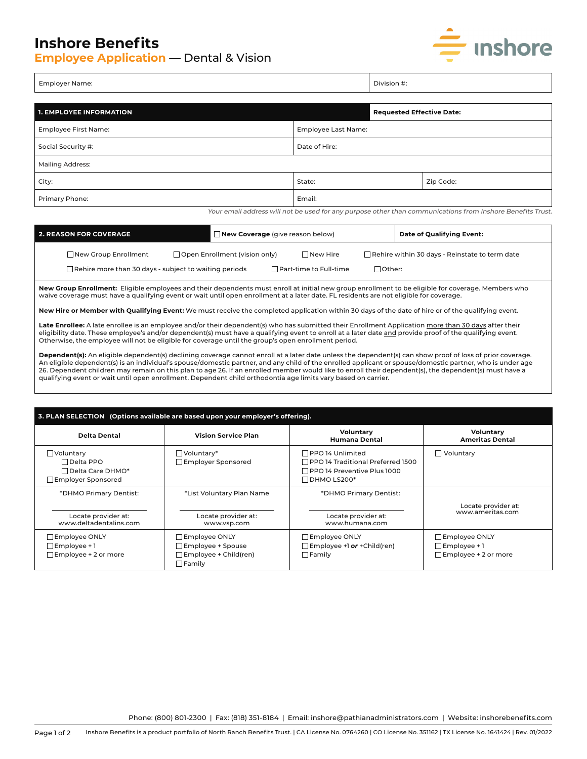## **Inshore Benefits**

**Employee Application** — Dental & Vision



| Emn<br>ne:<br>----<br>. <del>.</del><br>____<br>-- | $\overline{\phantom{0}}$ | $\sum_{n=1}^{\infty}$<br>the contract of the contract of the contract of the contract of the contract of the contract of the contract of |
|----------------------------------------------------|--------------------------|------------------------------------------------------------------------------------------------------------------------------------------|
|                                                    |                          |                                                                                                                                          |

| <b>1. EMPLOYEE INFORMATION</b> |                     | <b>Requested Effective Date:</b> |  |  |  |
|--------------------------------|---------------------|----------------------------------|--|--|--|
| Employee First Name:           | Employee Last Name: |                                  |  |  |  |
| Social Security #:             | Date of Hire:       |                                  |  |  |  |
| <b>Mailing Address:</b>        |                     |                                  |  |  |  |
| City:                          | State:              | Zip Code:                        |  |  |  |
| Primary Phone:                 | Email:              |                                  |  |  |  |

Your email address will not be used for any purpose other than communications from Inshore Benefits Trust.

| 2. REASON FOR COVERAGE |                                                              | $\Box$ New Coverage (give reason below) |  |                   | Date of Qualifying Event:                             |                  |  |
|------------------------|--------------------------------------------------------------|-----------------------------------------|--|-------------------|-------------------------------------------------------|------------------|--|
|                        | $\Box$ Open Enrollment (vision only)<br>New Group Enrollment |                                         |  | $\sqcap$ New Hire | $\Box$ Rehire within 30 days - Reinstate to term date |                  |  |
|                        | Rehire more than 30 days - subject to waiting periods        |                                         |  |                   | $\sqcap$ Part-time to Full-time $\sqcap$              | $\exists$ Other: |  |

**New Group Enrollment:** Eligible employees and their dependents must enroll at initial new group enrollment to be eligible for coverage. Members who waive coverage must have a qualifying event or wait until open enrollment at a later date. FL residents are not eligible for coverage.

**New Hire or Member with Qualifying Event:** We must receive the completed application within 30 days of the date of hire or of the qualifying event.

Late Enrollee: A late enrollee is an employee and/or their dependent(s) who has submitted their Enrollment Application more than 30 days after their eligibility date. These employee's and/or dependent(s) must have a qualifying event to enroll at a later date and provide proof of the qualifying event. Otherwise, the employee will not be eligible for coverage until the group's open enrollment period.

**Dependent(s):** An eligible dependent(s) declining coverage cannot enroll at a later date unless the dependent(s) can show proof of loss of prior coverage.<br>An eligible dependent(s) is an individual's spouse/domestic partne 26. Dependent children may remain on this plan to age 26. If an enrolled member would like to enroll their dependent(s), the dependent(s) must have a qualifying event or wait until open enrollment. Dependent child orthodontia age limits vary based on carrier.

| 3. PLAN SELECTION (Options available are based upon your employer's offering).   |                                                                                     |                                                                                                                                   |                                                                            |  |  |  |
|----------------------------------------------------------------------------------|-------------------------------------------------------------------------------------|-----------------------------------------------------------------------------------------------------------------------------------|----------------------------------------------------------------------------|--|--|--|
| <b>Delta Dental</b>                                                              | <b>Vision Service Plan</b>                                                          | Voluntary<br><b>Humana Dental</b>                                                                                                 | Voluntary<br><b>Ameritas Dental</b>                                        |  |  |  |
| $\Box$ Voluntary<br>$\Box$ Delta PPO<br>□ Delta Care DHMO*<br>Employer Sponsored | $\Box$ Voluntary*<br>$\Box$ Employer Sponsored                                      | $\Box$ PPO 14 Unlimited<br>$\sqcap$ PPO 14 Traditional Preferred 1500<br>$\Box$ PPO 14 Preventive Plus 1000<br>$\Box$ DHMO LS200* | $\Box$ Voluntary                                                           |  |  |  |
| *DHMO Primary Dentist:<br>Locate provider at:<br>www.deltadentalins.com          | *List Voluntary Plan Name<br>Locate provider at:<br>www.vsp.com                     | *DHMO Primary Dentist:<br>Locate provider at:<br>www.humana.com                                                                   | Locate provider at:<br>www.ameritas.com                                    |  |  |  |
| $\Box$ Employee ONLY<br>$\Box$ Employee + 1<br>$\Box$ Employee + 2 or more       | Employee ONLY<br>Employee + Spouse<br>$\Box$ Employee + Child(ren)<br>$\Box$ Family | $\Box$ Employee ONLY<br>$\Box$ Employee +1 or + Child (ren)<br>$\Box$ Family                                                      | $\Box$ Employee ONLY<br>$\Box$ Employee + 1<br>$\Box$ Employee + 2 or more |  |  |  |

Phone: (800) 801-2300 | Fax: (818) 351-8184 | Email: inshore@pathianadministrators.com | Website: inshorebenefits.com